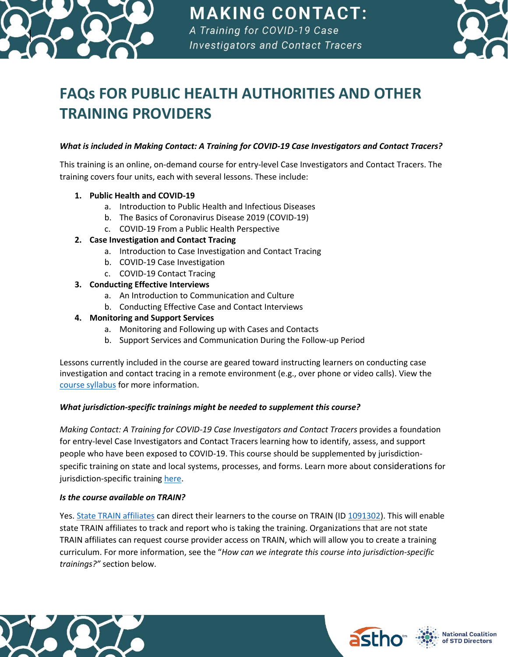

# **MAKING CONTACT:** A Training for COVID-19 Case

**Investigators and Contact Tracers** 



# **FAQs FOR PUBLIC HEALTH AUTHORITIES AND OTHER TRAINING PROVIDERS**

# *What is included in Making Contact: A Training for COVID-19 Case Investigators and Contact Tracers?*

This training is an online, on-demand course for entry-level Case Investigators and Contact Tracers. The training covers four units, each with several lessons. These include:

- **1. Public Health and COVID-19**
	- a. Introduction to Public Health and Infectious Diseases
	- b. The Basics of Coronavirus Disease 2019 (COVID-19)
	- c. COVID-19 From a Public Health Perspective

# **2. Case Investigation and Contact Tracing**

- a. Introduction to Case Investigation and Contact Tracing
- b. COVID-19 Case Investigation
- c. COVID-19 Contact Tracing

# **3. Conducting Effective Interviews**

- a. An Introduction to Communication and Culture
- b. Conducting Effective Case and Contact Interviews

#### **4. Monitoring and Support Services**

- a. Monitoring and Following up with Cases and Contacts
- b. Support Services and Communication During the Follow-up Period

Lessons currently included in the course are geared toward instructing learners on conducting case investigation and contact tracing in a remote environment (e.g., over phone or video calls). View the [course syllabus](https://www.astho.org/COVID-19/Making-Contact/Syllabus/) for more information.

# *What jurisdiction-specific trainings might be needed to supplement this course?*

*Making Contact: A Training for COVID-19 Case Investigators and Contact Tracers* provides a foundation for entry-level Case Investigators and Contact Tracers learning how to identify, assess, and support people who have been exposed to COVID-19. This course should be supplemented by jurisdictionspecific training on state and local systems, processes, and forms. Learn more about considerations for jurisdiction-specific training [here.](https://www.astho.org/COVID-19/Making-Contact/Considerations-for-Jurisdiction-Specific-Training/)

#### *Is the course available on TRAIN?*

Yes[. State TRAIN affiliates](http://www.phf.org/programs/TRAIN/Pages/TRAIN_Learning_Network_Partners.aspx) can direct their learners to the course on TRAIN (I[D 1091302\)](https://www.train.org/main/course/1091302/compilation). This will enable state TRAIN affiliates to track and report who is taking the training. Organizations that are not state TRAIN affiliates can request course provider access on TRAIN, which will allow you to create a training curriculum. For more information, see the "*How can we integrate this course into jurisdiction-specific trainings?"* section below.